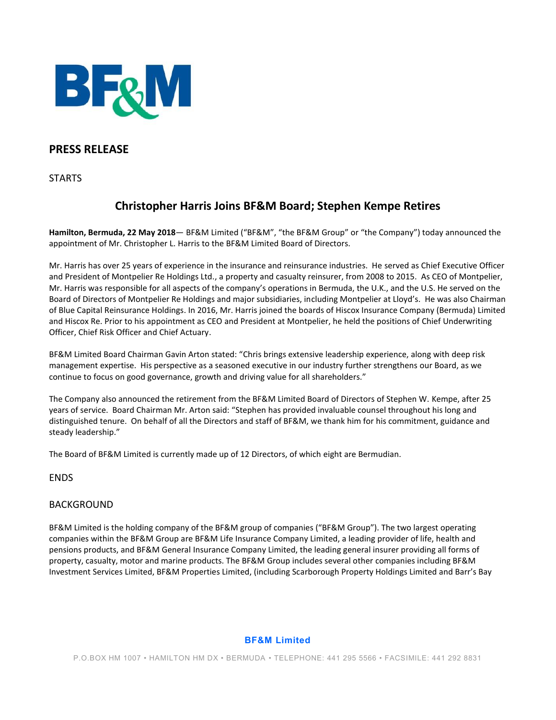

## **PRESS RELEASE**

**STARTS** 

# **Christopher Harris Joins BF&M Board; Stephen Kempe Retires**

**Hamilton, Bermuda, 22 May 2018**— BF&M Limited ("BF&M", "the BF&M Group" or "the Company") today announced the appointment of Mr. Christopher L. Harris to the BF&M Limited Board of Directors.

Mr. Harris has over 25 years of experience in the insurance and reinsurance industries. He served as Chief Executive Officer and President of Montpelier Re Holdings Ltd., a property and casualty reinsurer, from 2008 to 2015. As CEO of Montpelier, Mr. Harris was responsible for all aspects of the company's operations in Bermuda, the U.K., and the U.S. He served on the Board of Directors of Montpelier Re Holdings and major subsidiaries, including Montpelier at Lloyd's. He was also Chairman of Blue Capital Reinsurance Holdings. In 2016, Mr. Harris joined the boards of Hiscox Insurance Company (Bermuda) Limited and Hiscox Re. Prior to his appointment as CEO and President at Montpelier, he held the positions of Chief Underwriting Officer, Chief Risk Officer and Chief Actuary.

BF&M Limited Board Chairman Gavin Arton stated: "Chris brings extensive leadership experience, along with deep risk management expertise. His perspective as a seasoned executive in our industry further strengthens our Board, as we continue to focus on good governance, growth and driving value for all shareholders."

The Company also announced the retirement from the BF&M Limited Board of Directors of Stephen W. Kempe, after 25 years of service. Board Chairman Mr. Arton said: "Stephen has provided invaluable counsel throughout his long and distinguished tenure. On behalf of all the Directors and staff of BF&M, we thank him for his commitment, guidance and steady leadership."

The Board of BF&M Limited is currently made up of 12 Directors, of which eight are Bermudian.

ENDS

### BACKGROUND

BF&M Limited is the holding company of the BF&M group of companies ("BF&M Group"). The two largest operating companies within the BF&M Group are BF&M Life Insurance Company Limited, a leading provider of life, health and pensions products, and BF&M General Insurance Company Limited, the leading general insurer providing all forms of property, casualty, motor and marine products. The BF&M Group includes several other companies including BF&M Investment Services Limited, BF&M Properties Limited, (including Scarborough Property Holdings Limited and Barr's Bay

#### **BF&M Limited**

P.O.BOX HM 1007 • HAMILTON HM DX • BERMUDA • TELEPHONE: 441 295 5566 • FACSIMILE: 441 292 8831